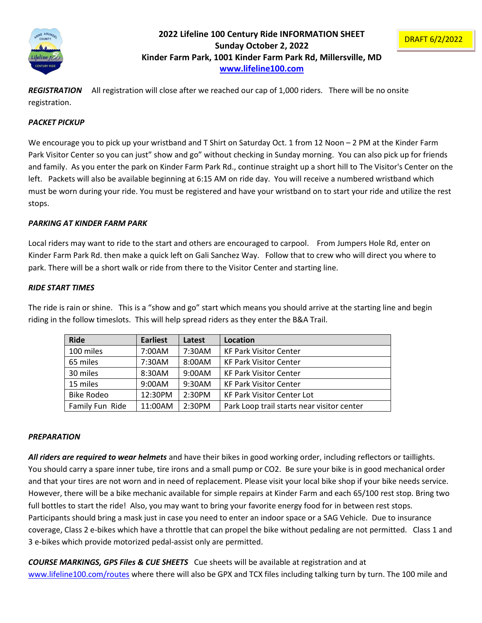

# **2022 Lifeline 100 Century Ride INFORMATION SHEET Sunday October 2, 2022 Kinder Farm Park, 1001 Kinder Farm Park Rd, Millersville, MD [www.lifeline100.com](http://www.lifeline100.com/)**

*REGISTRATION* All registration will close after we reached our cap of 1,000 riders. There will be no onsite registration.

### *PACKET PICKUP*

We encourage you to pick up your wristband and T Shirt on Saturday Oct. 1 from 12 Noon – 2 PM at the Kinder Farm Park Visitor Center so you can just" show and go" without checking in Sunday morning. You can also pick up for friends and family. As you enter the park on Kinder Farm Park Rd., continue straight up a short hill to The Visitor's Center on the left. Packets will also be available beginning at 6:15 AM on ride day. You will receive a numbered wristband which must be worn during your ride. You must be registered and have your wristband on to start your ride and utilize the rest stops.

#### *PARKING AT KINDER FARM PARK*

Local riders may want to ride to the start and others are encouraged to carpool. From Jumpers Hole Rd, enter on Kinder Farm Park Rd. then make a quick left on Gali Sanchez Way. Follow that to crew who will direct you where to park. There will be a short walk or ride from there to the Visitor Center and starting line.

#### *RIDE START TIMES*

The ride is rain or shine. This is a "show and go" start which means you should arrive at the starting line and begin riding in the follow timeslots. This will help spread riders as they enter the B&A Trail.

| <b>Ride</b>       | <b>Earliest</b> | Latest | Location                                   |
|-------------------|-----------------|--------|--------------------------------------------|
| 100 miles         | 7:00AM          | 7:30AM | <b>KF Park Visitor Center</b>              |
| 65 miles          | 7:30AM          | 8:00AM | <b>KF Park Visitor Center</b>              |
| 30 miles          | 8:30AM          | 9:00AM | <b>KF Park Visitor Center</b>              |
| 15 miles          | 9:00AM          | 9:30AM | <b>KF Park Visitor Center</b>              |
| <b>Bike Rodeo</b> | 12:30PM         | 2:30PM | <b>KF Park Visitor Center Lot</b>          |
| Family Fun Ride   | 11:00AM         | 2:30PM | Park Loop trail starts near visitor center |

#### *PREPARATION*

*All riders are required to wear helmets* and have their bikes in good working order, including reflectors or taillights. You should carry a spare inner tube, tire irons and a small pump or CO2. Be sure your bike is in good mechanical order and that your tires are not worn and in need of replacement. Please visit your local bike shop if your bike needs service. However, there will be a bike mechanic available for simple repairs at Kinder Farm and each 65/100 rest stop. Bring two full bottles to start the ride! Also, you may want to bring your favorite energy food for in between rest stops. Participants should bring a mask just in case you need to enter an indoor space or a SAG Vehicle. Due to insurance coverage, Class 2 e-bikes which have a throttle that can propel the bike without pedaling are not permitted. Class 1 and 3 e-bikes which provide motorized pedal-assist only are permitted.

*COURSE MARKINGS, GPS Files & CUE SHEETS* Cue sheets will be available at registration and at [www.lifeline100.com/routes](http://www.lifeline100.com/routes) where there will also be GPX and TCX files including talking turn by turn. The 100 mile and